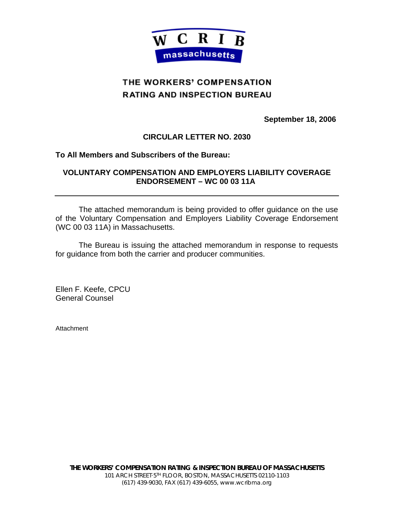

## THE WORKERS' COMPENSATION **RATING AND INSPECTION BUREAU**

**September 18, 2006** 

## **CIRCULAR LETTER NO. 2030**

## **To All Members and Subscribers of the Bureau:**

## **VOLUNTARY COMPENSATION AND EMPLOYERS LIABILITY COVERAGE ENDORSEMENT – WC 00 03 11A**

 The attached memorandum is being provided to offer guidance on the use of the Voluntary Compensation and Employers Liability Coverage Endorsement (WC 00 03 11A) in Massachusetts.

 The Bureau is issuing the attached memorandum in response to requests for guidance from both the carrier and producer communities.

Ellen F. Keefe, CPCU General Counsel

**Attachment**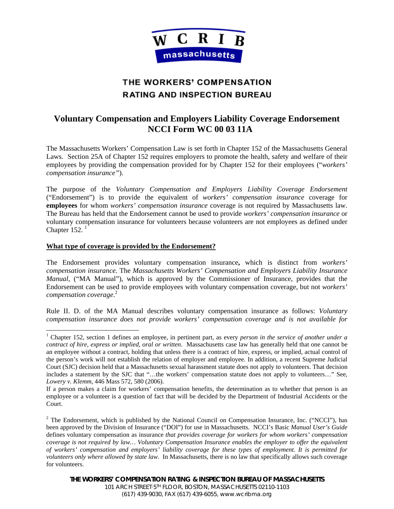

# THE WORKERS' COMPENSATION **RATING AND INSPECTION BUREAU**

## **Voluntary Compensation and Employers Liability Coverage Endorsement NCCI Form WC 00 03 11A**

The Massachusetts Workers' Compensation Law is set forth in Chapter 152 of the Massachusetts General Laws. Section 25A of Chapter 152 requires employers to promote the health, safety and welfare of their employees by providing the compensation provided for by Chapter 152 for their employees ("*workers' compensation insurance"*).

The purpose of the *Voluntary Compensation and Employers Liability Coverage Endorsement* ("Endorsement") is to provide the equivalent of *workers' compensation insurance* coverage for **employees** for whom *workers' compensation insurance* coverage is not required by Massachusetts law. The Bureau has held that the Endorsement cannot be used to provide *workers' compensation insurance* or voluntary compensation insurance for volunteers because volunteers are not employees as defined under Chapter  $152.<sup>1</sup>$ 

### **What type of coverage is provided by the Endorsement?**

The Endorsement provides voluntary compensation insurance**,** which is distinct from *workers' compensation insurance.* The *Massachusetts Workers' Compensation and Employers Liability Insurance Manual,* ("MA Manual"), which is approved by the Commissioner of Insurance, provides that the Endorsement can be used to provide employees with voluntary compensation coverage, but not *workers' compensation coverage*. 2

Rule II. D. of the MA Manual describes voluntary compensation insurance as follows: *Voluntary compensation insurance does not provide workers' compensation coverage and is not available for* 

 1 Chapter 152, section 1 defines an employee, in pertinent part, as every *person in the service of another under a contract of hire, express or implied, oral or written*. Massachusetts case law has generally held that one cannot be an employee without a contract, holding that unless there is a contract of hire, express, or implied, actual control of the person's work will not establish the relation of employer and employee*.* In addition, a recent Supreme Judicial Court (SJC) decision held that a Massachusetts sexual harassment statute does not apply to volunteers. That decision includes a statement by the SJC that "…the workers' compensation statute does not apply to volunteers…" See*, Lowery v. Klemm*, 446 Mass 572, 580 (2006).

If a person makes a claim for workers' compensation benefits, the determination as to whether that person is an employee or a volunteer is a question of fact that will be decided by the Department of Industrial Accidents or the Court.

 $2$  The Endorsement, which is published by the National Council on Compensation Insurance, Inc. ("NCCI"), has been approved by the Division of Insurance ("DOI") for use in Massachusetts. NCCI's Basic *Manual User's Guide* defines voluntary compensation as insurance *that provides coverage for workers for whom workers' compensation coverage is not required by law… Voluntary Compensation Insurance enables the employer to offer the equivalent of workers' compensation and employers' liability coverage for these types of employment. It is permitted for volunteers only where allowed by state law.* In Massachusetts, there is no law that specifically allows such coverage for volunteers.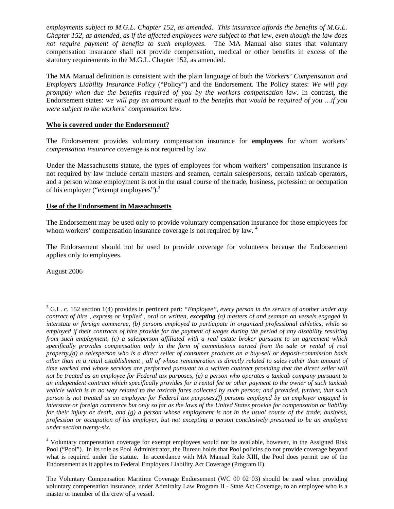*employments subject to M.G.L. Chapter 152, as amended. This insurance affords the benefits of M.G.L. Chapter 152, as amended, as if the affected employees were subject to that law, even though the law does not require payment of benefits to such employees*. The MA Manual also states that voluntary compensation insurance shall not provide compensation, medical or other benefits in excess of the statutory requirements in the M.G.L. Chapter 152, as amended.

The MA Manual definition is consistent with the plain language of both the *Workers' Compensation and Employers Liability Insurance Policy* ("Policy") and the Endorsement. The Policy states: *We will pay promptly when due the benefits required of you by the workers compensation law.* In contrast, the Endorsement states: *we will pay an amount equal to the benefits that would be required of you …if you were subject to the workers' compensation law.*

### **Who is covered under the Endorsement**?

The Endorsement provides voluntary compensation insurance for **employees** for whom workers' *compensation insurance* coverage is not required by law.

Under the Massachusetts statute, the types of employees for whom workers' compensation insurance is not required by law include certain masters and seamen, certain salespersons, certain taxicab operators, and a person whose employment is not in the usual course of the trade, business, profession or occupation of his employer ("exempt employees").<sup>3</sup>

#### **Use of the Endorsement in Massachusetts**

The Endorsement may be used only to provide voluntary compensation insurance for those employees for whom workers' compensation insurance coverage is not required by law. <sup>4</sup>

The Endorsement should not be used to provide coverage for volunteers because the Endorsement applies only to employees.

August 2006

 3 G.L. c. 152 section 1(4) provides in pertinent part: *"Employee", every person in the service of another under any contract of hire , express or implied , oral or written, excepting (a) masters of and seaman on vessels engaged in interstate or foreign commerce, (b) persons employed to participate in organized professional athletics, while so employed if their contracts of hire provide for the payment of wages during the period of any disability resulting from such employment, (c) a salesperson affiliated with a real estate broker pursuant to an agreement which specifically provides compensation only in the form of commissions earned from the sale or rental of real property,(d) a salesperson who is a direct seller of consumer products on a buy-sell or deposit-commission basis other than in a retail establishment , all of whose remuneration is directly related to sales rather than amount of time worked and whose services are performed pursuant to a written contract providing that the direct seller will not be treated as an employee for Federal tax purposes, (e) a person who operates a taxicab company pursuant to an independent contract which specifically provides for a rental fee or other payment to the owner of such taxicab vehicle which is in no way related to the taxicab fares collected by such person; and provided, further, that such person is not treated as an employee for Federal tax purposes,(f) persons employed by an employer engaged in interstate or foreign commerce but only so far as the laws of the United States provide for compensation or liability for their injury or death, and (g) a person whose employment is not in the usual course of the trade, business, profession or occupation of his employer, but not excepting a person conclusively presumed to be an employee under section twenty-six.* 

<sup>&</sup>lt;sup>4</sup> Voluntary compensation coverage for exempt employees would not be available, however, in the Assigned Risk Pool ("Pool"). In its role as Pool Administrator, the Bureau holds that Pool policies do not provide coverage beyond what is required under the statute. In accordance with MA Manual Rule XIII, the Pool does permit use of the Endorsement as it applies to Federal Employers Liability Act Coverage (Program II).

The Voluntary Compensation Maritime Coverage Endorsement (WC 00 02 03) should be used when providing voluntary compensation insurance, under Admiralty Law Program II - State Act Coverage, to an employee who is a master or member of the crew of a vessel.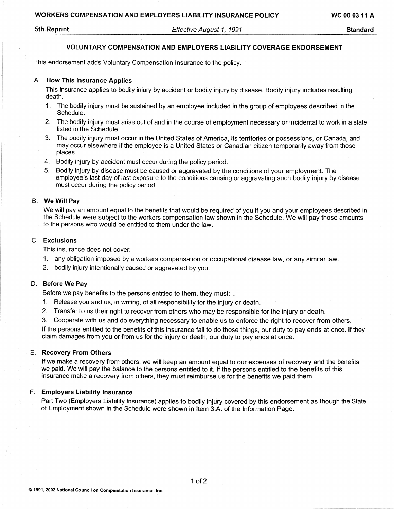#### **5th Reprint**

Effective August 1, 1991

**Standard** 

#### **VOLUNTARY COMPENSATION AND EMPLOYERS LIABILITY COVERAGE ENDORSEMENT**

This endorsement adds Voluntary Compensation Insurance to the policy.

#### A. How This Insurance Applies

This insurance applies to bodily injury by accident or bodily injury by disease. Bodily injury includes resulting death.

- 1. The bodily injury must be sustained by an employee included in the group of employees described in the Schedule.
- 2. The bodily injury must arise out of and in the course of employment necessary or incidental to work in a state listed in the Schedule.
- The bodily injury must occur in the United States of America, its territories or possessions, or Canada, and  $3<sub>1</sub>$ may occur elsewhere if the employee is a United States or Canadian citizen temporarily away from those places.
- 4. Bodily injury by accident must occur during the policy period.
- $5<sub>1</sub>$ Bodily injury by disease must be caused or aggravated by the conditions of your employment. The employee's last day of last exposure to the conditions causing or aggravating such bodily injury by disease must occur during the policy period.

#### B. We Will Pav

We will pay an amount equal to the benefits that would be required of you if you and your employees described in the Schedule were subject to the workers compensation law shown in the Schedule. We will pay those amounts to the persons who would be entitled to them under the law.

#### C. Exclusions

This insurance does not cover:

- 1. any obligation imposed by a workers compensation or occupational disease law, or any similar law.
- 2. bodily injury intentionally caused or aggravated by you.

#### D. Before We Pay

Before we pay benefits to the persons entitled to them, they must:

- 1. Release you and us, in writing, of all responsibility for the injury or death.
- 2. Transfer to us their right to recover from others who may be responsible for the injury or death.
- 3. Cooperate with us and do everything necessary to enable us to enforce the right to recover from others.

If the persons entitled to the benefits of this insurance fail to do those things, our duty to pay ends at once. If they claim damages from you or from us for the injury or death, our duty to pay ends at once.

#### E. Recovery From Others

If we make a recovery from others, we will keep an amount equal to our expenses of recovery and the benefits we paid. We will pay the balance to the persons entitled to it. If the persons entitled to the benefits of this insurance make a recovery from others, they must reimburse us for the benefits we paid them.

#### F. Employers Liability Insurance

Part Two (Employers Liability Insurance) applies to bodily injury covered by this endorsement as though the State of Employment shown in the Schedule were shown in Item 3.A. of the Information Page.